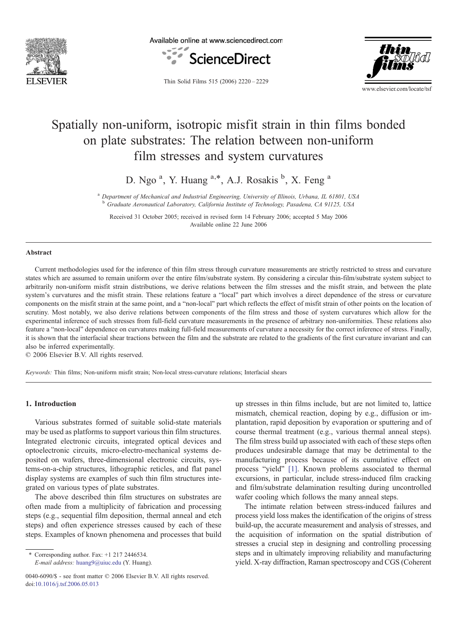

Available online at www.sciencedirect.com





Thin Solid Films 515 (2006) 2220–2229

# Spatially non-uniform, isotropic misfit strain in thin films bonded on plate substrates: The relation between non-uniform film stresses and system curvatures

D. Ngo<sup>a</sup>, Y. Huang <sup>a,\*</sup>, A.J. Rosakis <sup>b</sup>, X. Feng <sup>a</sup>

<sup>a</sup> Department of Mechanical and Industrial Engineering, University of Illinois, Urbana, IL 61801, USA <sup>b</sup> Graduate Aeronautical Laboratory, California Institute of Technology, Pasadena, CA 91125, USA

Received 31 October 2005; received in revised form 14 February 2006; accepted 5 May 2006 Available online 22 June 2006

## Abstract

Current methodologies used for the inference of thin film stress through curvature measurements are strictly restricted to stress and curvature states which are assumed to remain uniform over the entire film/substrate system. By considering a circular thin-film/substrate system subject to arbitrarily non-uniform misfit strain distributions, we derive relations between the film stresses and the misfit strain, and between the plate system's curvatures and the misfit strain. These relations feature a "local" part which involves a direct dependence of the stress or curvature components on the misfit strain at the same point, and a "non-local" part which reflects the effect of misfit strain of other points on the location of scrutiny. Most notably, we also derive relations between components of the film stress and those of system curvatures which allow for the experimental inference of such stresses from full-field curvature measurements in the presence of arbitrary non-uniformities. These relations also feature a "non-local" dependence on curvatures making full-field measurements of curvature a necessity for the correct inference of stress. Finally, it is shown that the interfacial shear tractions between the film and the substrate are related to the gradients of the first curvature invariant and can also be inferred experimentally.

© 2006 Elsevier B.V. All rights reserved.

Keywords: Thin films; Non-uniform misfit strain; Non-local stress-curvature relations; Interfacial shears

# 1. Introduction

Various substrates formed of suitable solid-state materials may be used as platforms to support various thin film structures. Integrated electronic circuits, integrated optical devices and optoelectronic circuits, micro-electro-mechanical systems deposited on wafers, three-dimensional electronic circuits, systems-on-a-chip structures, lithographic reticles, and flat panel display systems are examples of such thin film structures integrated on various types of plate substrates.

The above described thin film structures on substrates are often made from a multiplicity of fabrication and processing steps (e.g., sequential film deposition, thermal anneal and etch steps) and often experience stresses caused by each of these steps. Examples of known phenomena and processes that build

 $*$  Corresponding author. Fax:  $+1$  217 2446534. E-mail address: [huang9@uiuc.edu](mailto:huang9@uiuc.edu) (Y. Huang).

0040-6090/\$ - see front matter © 2006 Elsevier B.V. All rights reserved. doi:[10.1016/j.tsf.2006.05.013](http://dx.doi.org/10.1016/j.tsf.2006.05.013)

up stresses in thin films include, but are not limited to, lattice mismatch, chemical reaction, doping by e.g., diffusion or implantation, rapid deposition by evaporation or sputtering and of course thermal treatment (e.g., various thermal anneal steps). The film stress build up associated with each of these steps often produces undesirable damage that may be detrimental to the manufacturing process because of its cumulative effect on process "yield" [\[1\].](#page-8-0) Known problems associated to thermal excursions, in particular, include stress-induced film cracking and film/substrate delamination resulting during uncontrolled wafer cooling which follows the many anneal steps.

The intimate relation between stress-induced failures and process yield loss makes the identification of the origins of stress build-up, the accurate measurement and analysis of stresses, and the acquisition of information on the spatial distribution of stresses a crucial step in designing and controlling processing steps and in ultimately improving reliability and manufacturing yield. X-ray diffraction, Raman spectroscopy and CGS (Coherent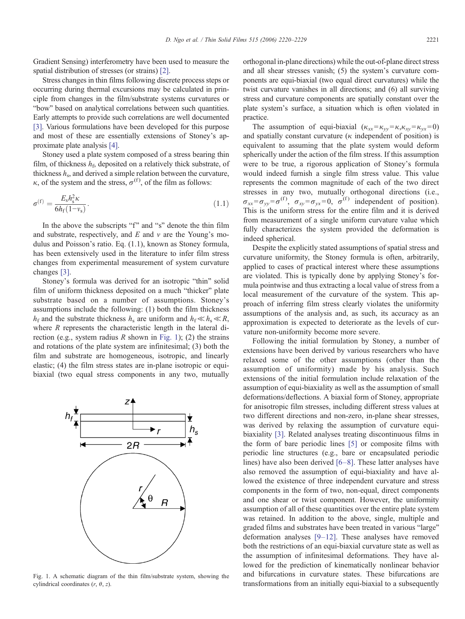<span id="page-1-0"></span>Gradient Sensing) interferometry have been used to measure the spatial distribution of stresses (or strains) [\[2\]](#page-8-0).

Stress changes in thin films following discrete process steps or occurring during thermal excursions may be calculated in principle from changes in the film/substrate systems curvatures or "bow" based on analytical correlations between such quantities. Early attempts to provide such correlations are well documented [\[3\].](#page-8-0) Various formulations have been developed for this purpose and most of these are essentially extensions of Stoney's approximate plate analysis [\[4\].](#page-9-0)

Stoney used a plate system composed of a stress bearing thin film, of thickness  $h_f$ , deposited on a relatively thick substrate, of thickness  $h_s$ , and derived a simple relation between the curvature,  $κ$ , of the system and the stress,  $σ$ <sup>(f)</sup>, of the film as follows:

$$
\sigma^{(f)} = \frac{E_s h_s^2 \kappa}{6h_f(1 - v_s)}.
$$
\n(1.1)

In the above the subscripts "f" and "s" denote the thin film and substrate, respectively, and E and  $\nu$  are the Young's modulus and Poisson's ratio. Eq. (1.1), known as Stoney formula, has been extensively used in the literature to infer film stress changes from experimental measurement of system curvature changes [\[3\].](#page-8-0)

Stoney's formula was derived for an isotropic "thin" solid film of uniform thickness deposited on a much "thicker" plate substrate based on a number of assumptions. Stoney's assumptions include the following: (1) both the film thickness  $h_f$  and the substrate thickness  $h_s$  are uniform and  $h_f \ll h_s \ll R$ , where *R* represents the characteristic length in the lateral direction (e.g., system radius R shown in Fig. 1); (2) the strains and rotations of the plate system are infinitesimal; (3) both the film and substrate are homogeneous, isotropic, and linearly elastic; (4) the film stress states are in-plane isotropic or equibiaxial (two equal stress components in any two, mutually



Fig. 1. A schematic diagram of the thin film/substrate system, showing the cylindrical coordinates  $(r, \theta, z)$ .

orthogonal in-plane directions) while the out-of-plane direct stress and all shear stresses vanish; (5) the system's curvature components are equi-biaxial (two equal direct curvatures) while the twist curvature vanishes in all directions; and (6) all surviving stress and curvature components are spatially constant over the plate system's surface, a situation which is often violated in practice.

The assumption of equi-biaxial  $(\kappa_{xx} = \kappa_{yy} = \kappa_{xy} = \kappa_{yx} = 0)$ and spatially constant curvature ( $\kappa$  independent of position) is equivalent to assuming that the plate system would deform spherically under the action of the film stress. If this assumption were to be true, a rigorous application of Stoney's formula would indeed furnish a single film stress value. This value represents the common magnitude of each of the two direct stresses in any two, mutually orthogonal directions (i.e.,  $\sigma_{xx} = \sigma_{yy} = \sigma^{(f)}$ ,  $\sigma_{xy} = \sigma_{yx} = 0$ ,  $\sigma^{(f)}$  independent of position). This is the uniform stress for the entire film and it is derived from measurement of a single uniform curvature value which fully characterizes the system provided the deformation is indeed spherical.

Despite the explicitly stated assumptions of spatial stress and curvature uniformity, the Stoney formula is often, arbitrarily, applied to cases of practical interest where these assumptions are violated. This is typically done by applying Stoney's formula pointwise and thus extracting a local value of stress from a local measurement of the curvature of the system. This approach of inferring film stress clearly violates the uniformity assumptions of the analysis and, as such, its accuracy as an approximation is expected to deteriorate as the levels of curvature non-uniformity become more severe.

Following the initial formulation by Stoney, a number of extensions have been derived by various researchers who have relaxed some of the other assumptions (other than the assumption of uniformity) made by his analysis. Such extensions of the initial formulation include relaxation of the assumption of equi-biaxiality as well as the assumption of small deformations/deflections. A biaxial form of Stoney, appropriate for anisotropic film stresses, including different stress values at two different directions and non-zero, in-plane shear stresses, was derived by relaxing the assumption of curvature equibiaxiality [\[3\].](#page-8-0) Related analyses treating discontinuous films in the form of bare periodic lines [\[5\]](#page-9-0) or composite films with periodic line structures (e.g., bare or encapsulated periodic lines) have also been derived [6–[8\].](#page-9-0) These latter analyses have also removed the assumption of equi-biaxiality and have allowed the existence of three independent curvature and stress components in the form of two, non-equal, direct components and one shear or twist component. However, the uniformity assumption of all of these quantities over the entire plate system was retained. In addition to the above, single, multiple and graded films and substrates have been treated in various "large" deformation analyses [9–[12\]](#page-9-0). These analyses have removed both the restrictions of an equi-biaxial curvature state as well as the assumption of infinitesimal deformations. They have allowed for the prediction of kinematically nonlinear behavior and bifurcations in curvature states. These bifurcations are transformations from an initially equi-biaxial to a subsequently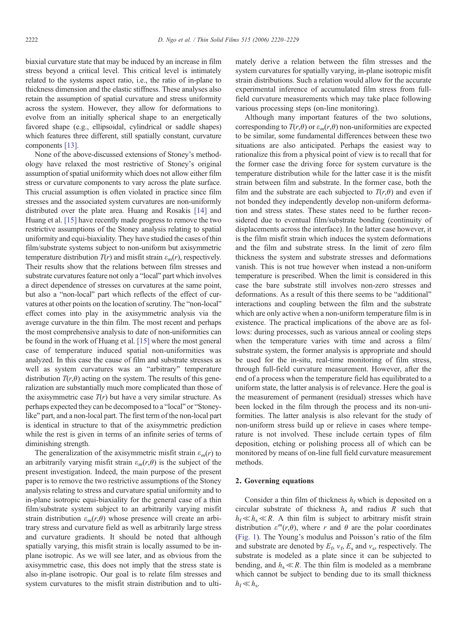biaxial curvature state that may be induced by an increase in film stress beyond a critical level. This critical level is intimately related to the systems aspect ratio, i.e., the ratio of in-plane to thickness dimension and the elastic stiffness. These analyses also retain the assumption of spatial curvature and stress uniformity across the system. However, they allow for deformations to evolve from an initially spherical shape to an energetically favored shape (e.g., ellipsoidal, cylindrical or saddle shapes) which features three different, still spatially constant, curvature components [\[13\].](#page-9-0)

None of the above-discussed extensions of Stoney's methodology have relaxed the most restrictive of Stoney's original assumption of spatial uniformity which does not allow either film stress or curvature components to vary across the plate surface. This crucial assumption is often violated in practice since film stresses and the associated system curvatures are non-uniformly distributed over the plate area. Huang and Rosakis [\[14\]](#page-9-0) and Huang et al. [\[15\]](#page-9-0) have recently made progress to remove the two restrictive assumptions of the Stoney analysis relating to spatial uniformity and equi-biaxiality. They have studied the cases of thin film/substrate systems subject to non-uniform but axisymmetric temperature distribution  $T(r)$  and misfit strain  $\varepsilon_m(r)$ , respectively. Their results show that the relations between film stresses and substrate curvatures feature not only a "local" part which involves a direct dependence of stresses on curvatures at the same point, but also a "non-local" part which reflects of the effect of curvatures at other points on the location of scrutiny. The "non-local" effect comes into play in the axisymmetric analysis via the average curvature in the thin film. The most recent and perhaps the most comprehensive analysis to date of non-uniformities can be found in the work of Huang et al. [\[15\]](#page-9-0) where the most general case of temperature induced spatial non-uniformities was analyzed. In this case the cause of film and substrate stresses as well as system curvatures was an "arbitrary" temperature distribution  $T(r,\theta)$  acting on the system. The results of this generalization are substantially much more complicated than those of the axisymmetric case  $T(r)$  but have a very similar structure. As perhaps expected they can be decomposed to a "local" or "Stoneylike" part, and a non-local part. The first term of the non-local part is identical in structure to that of the axisymmetric prediction while the rest is given in terms of an infinite series of terms of diminishing strength.

The generalization of the axisymmetric misfit strain  $\varepsilon_m(r)$  to an arbitrarily varying misfit strain  $\varepsilon_m(r,\theta)$  is the subject of the present investigation. Indeed, the main purpose of the present paper is to remove the two restrictive assumptions of the Stoney analysis relating to stress and curvature spatial uniformity and to in-plane isotropic equi-biaxiality for the general case of a thin film/substrate system subject to an arbitrarily varying misfit strain distribution  $\varepsilon_m(r,\theta)$  whose presence will create an arbitrary stress and curvature field as well as arbitrarily large stress and curvature gradients. It should be noted that although spatially varying, this misfit strain is locally assumed to be inplane isotropic. As we will see later, and as obvious from the axisymmetric case, this does not imply that the stress state is also in-plane isotropic. Our goal is to relate film stresses and system curvatures to the misfit strain distribution and to ultimately derive a relation between the film stresses and the system curvatures for spatially varying, in-plane isotropic misfit strain distributions. Such a relation would allow for the accurate experimental inference of accumulated film stress from fullfield curvature measurements which may take place following various processing steps (on-line monitoring).

Although many important features of the two solutions, corresponding to  $T(r,\theta)$  or  $\varepsilon_m(r,\theta)$  non-uniformities are expected to be similar, some fundamental differences between these two situations are also anticipated. Perhaps the easiest way to rationalize this from a physical point of view is to recall that for the former case the driving force for system curvature is the temperature distribution while for the latter case it is the misfit strain between film and substrate. In the former case, both the film and the substrate are each subjected to  $T(r,\theta)$  and even if not bonded they independently develop non-uniform deformation and stress states. These states need to be further reconsidered due to eventual film/substrate bonding (continuity of displacements across the interface). In the latter case however, it is the film misfit strain which induces the system deformations and the film and substrate stress. In the limit of zero film thickness the system and substrate stresses and deformations vanish. This is not true however when instead a non-uniform temperature is prescribed. When the limit is considered in this case the bare substrate still involves non-zero stresses and deformations. As a result of this there seems to be "additional" interactions and coupling between the film and the substrate which are only active when a non-uniform temperature film is in existence. The practical implications of the above are as follows: during processes, such as various anneal or cooling steps when the temperature varies with time and across a film/ substrate system, the former analysis is appropriate and should be used for the in-situ, real-time monitoring of film stress, through full-field curvature measurement. However, after the end of a process when the temperature field has equilibrated to a uniform state, the latter analysis is of relevance. Here the goal is the measurement of permanent (residual) stresses which have been locked in the film through the process and its non-uniformities. The latter analysis is also relevant for the study of non-uniform stress build up or relieve in cases where temperature is not involved. These include certain types of film deposition, etching or polishing process all of which can be monitored by means of on-line full field curvature measurement methods.

# 2. Governing equations

Consider a thin film of thickness  $h_f$  which is deposited on a circular substrate of thickness  $h_s$  and radius R such that  $h_f \ll h_s \ll R$ . A thin film is subject to arbitrary misfit strain distribution  $\varepsilon^{m}(r,\theta)$ , where r and  $\theta$  are the polar coordinates ([Fig. 1\)](#page-1-0). The Young's modulus and Poisson's ratio of the film and substrate are denoted by  $E_f$ ,  $v_f$ ,  $E_s$  and  $v_s$ , respectively. The substrate is modeled as a plate since it can be subjected to bending, and  $h_s \ll R$ . The thin film is modeled as a membrane which cannot be subject to bending due to its small thickness  $h_{\rm f} \ll h_{\rm s}$ .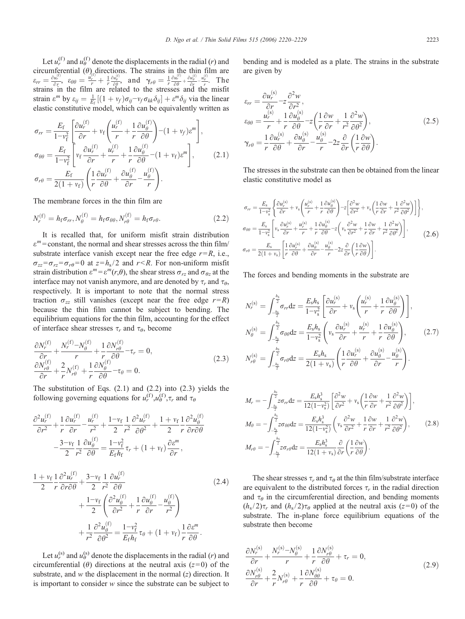Let  $u_r^{(f)}$  and  $u_\theta^{(f)}$  denote the displacements in the radial (*r*) and circumferential  $(\theta)$  directions. The strains in the thin film are  $\varepsilon_{rr} = \frac{\partial u_r^{(f)}}{\partial r}$ ,  $\varepsilon_{\theta\theta} = \frac{u_r^{(f)}}{r} + \frac{1}{r} \frac{\partial u_{\theta}^{(f)}}{\partial \theta}$ , and  $\gamma_{r\theta} = \frac{1}{r} \frac{\partial u_r^{(f)}}{\partial \theta} + \frac{\partial u_{\theta}^{(f)}}{\partial r} - \frac{u_{\theta}^{(f)}}{r}$ . The strains in the film are related to the stresses and the misfit strain  $\varepsilon^m$  by  $\varepsilon_{ij} = \frac{1}{E_i} \left[ (1 + v_f) \sigma_{ij} - v_f \sigma_{kk} \delta_{ij} \right] + \varepsilon^m \delta_{ij}$  via the linear elastic constitutive model, which can be equivalently written as

$$
\sigma_{rr} = \frac{E_{\rm f}}{1 - v_{\rm f}^2} \left[ \frac{\partial u_r^{(\rm f)}}{\partial r} + v_{\rm f} \left( \frac{u_r^{(\rm f)}}{r} + \frac{1}{r} \frac{\partial u_\theta^{(\rm f)}}{\partial \theta} \right) - (1 + v_f) \varepsilon^m \right],
$$
  
\n
$$
\sigma_{\theta\theta} = \frac{E_{\rm f}}{1 - v_{\rm f}^2} \left[ v_{\rm f} \frac{\partial u_r^{(\rm f)}}{\partial r} + \frac{u_r^{(\rm f)}}{r} + \frac{1}{r} \frac{\partial u_\theta^{(\rm f)}}{\partial \theta} - (1 + v_{\rm f}) \varepsilon^m \right],
$$
  
\n
$$
\sigma_{r\theta} = \frac{E_{\rm f}}{2(1 + v_{\rm f})} \left( \frac{1}{r} \frac{\partial u_r^{(\rm f)}}{\partial \theta} + \frac{\partial u_\theta^{(\rm f)}}{\partial r} - \frac{u_\theta^{(\rm f)}}{r} \right).
$$
\n(2.1)

The membrane forces in the thin film are

$$
N_r^{(\text{f})} = h_{\text{f}} \sigma_{rr}, N_\theta^{(\text{f})} = h_{\text{f}} \sigma_{\theta\theta}, N_{r\theta}^{(\text{f})} = h_{\text{f}} \sigma_{r\theta}.
$$
 (2.2)

It is recalled that, for uniform misfit strain distribution  $\varepsilon^{m}$  = constant, the normal and shear stresses across the thin film/ substrate interface vanish except near the free edge  $r=R$ , i.e.,  $\sigma_{zz} = \sigma_{rz} = \sigma_{r\theta} = 0$  at  $z = h_s/2$  and  $r < R$ . For non-uniform misfit strain distribution  $\varepsilon^m = \varepsilon^m(r,\theta)$ , the shear stress  $\sigma_{rz}$  and  $\sigma_{\theta z}$  at the interface may not vanish anymore, and are denoted by  $\tau_r$  and  $\tau_\theta$ , respectively. It is important to note that the normal stress traction  $\sigma_{zz}$  still vanishes (except near the free edge  $r=R$ ) because the thin film cannot be subject to bending. The equilibrium equations for the thin film, accounting for the effect of interface shear stresses  $\tau_r$  and  $\tau_\theta$ , become

$$
\frac{\partial N_r^{(\text{f})}}{\partial r} + \frac{N_r^{(\text{f})} - N_\theta^{(\text{f})}}{r} + \frac{1}{r} \frac{\partial N_{r\theta}^{(\text{f})}}{\partial \theta} - \tau_r = 0, \n\frac{\partial N_{r\theta}^{(\text{f})}}{\partial r} + \frac{2}{r} N_{r\theta}^{(\text{f})} + \frac{1}{r} \frac{\partial N_\theta^{(\text{f})}}{\partial \theta} - \tau_\theta = 0.
$$
\n(2.3)

The substitution of Eqs.  $(2.1)$  and  $(2.2)$  into  $(2.3)$  yields the following governing equations for  $u_r^{(f)}$ ,  $u_{\theta}^{(f)}$ ,  $\tau_r$  and  $\tau_{\theta}$ 

$$
\frac{\partial^2 u_r^{(\text{f})}}{\partial r^2} + \frac{1}{r} \frac{\partial u_r^{(\text{f})}}{\partial r} - \frac{u_r^{(\text{f})}}{r^2} + \frac{1 - v_\text{f}}{2} \frac{1}{r^2} \frac{\partial^2 u_r^{(\text{f})}}{\partial \theta^2} + \frac{1 + v_\text{f}}{2} \frac{1}{r} \frac{\partial^2 u_\theta^{(\text{f})}}{\partial r \partial \theta} \n- \frac{3 - v_\text{f}}{2} \frac{1}{r^2} \frac{\partial u_\theta^{(\text{f})}}{\partial \theta} = \frac{1 - v_\text{f}^2}{E_\text{f} h_\text{f}} \tau_r + (1 + v_\text{f}) \frac{\partial \varepsilon^m}{\partial r},
$$

$$
\frac{1+v_{\rm f}}{2} \frac{1}{r} \frac{\partial^2 u_r^{(\rm f)}}{\partial r \partial \theta} + \frac{3-v_{\rm f}}{2} \frac{1}{r^2} \frac{\partial u_r^{(\rm f)}}{\partial \theta} + \frac{1-v_{\rm f}}{2} \left( \frac{\partial^2 u_\theta^{(\rm f)}}{\partial r^2} + \frac{1}{r} \frac{\partial u_\theta^{(\rm f)}}{\partial r} - \frac{u_\theta^{(\rm f)}}{r^2} \right) + \frac{1}{r^2} \frac{\partial^2 u_\theta^{(\rm f)}}{\partial \theta^2} = \frac{1-v_{\rm f}^2}{E_{\rm f} h_{\rm f}} \tau_\theta + (1+v_{\rm f}) \frac{1}{r} \frac{\partial \varepsilon^m}{\partial \theta}.
$$
\n(2.4)

Let  $u_r^{(s)}$  and  $u_\theta^{(s)}$  denote the displacements in the radial (*r*) and circumferential ( $\theta$ ) directions at the neutral axis ( $z=0$ ) of the substrate, and  $w$  the displacement in the normal  $(z)$  direction. It is important to consider  $w$  since the substrate can be subject to bending and is modeled as a plate. The strains in the substrate are given by

$$
\varepsilon_{rr} = \frac{\partial u_r^{(s)}}{\partial r} - z \frac{\partial^2 w}{\partial r^2},
$$
\n
$$
\varepsilon_{\theta\theta} = \frac{u_r^{(s)}}{r} + \frac{1}{r} \frac{\partial u_\theta^{(s)}}{\partial \theta} - z \left( \frac{1}{r} \frac{\partial w}{\partial r} + \frac{1}{r^2} \frac{\partial^2 w}{\partial \theta^2} \right),
$$
\n
$$
\gamma_{r\theta} = \frac{1}{r} \frac{\partial u_r^{(s)}}{\partial \theta} + \frac{\partial u_\theta^{(s)}}{\partial r} - \frac{u_\theta^{(s)}}{r} - 2z \frac{\partial}{\partial r} \left( \frac{1}{r} \frac{\partial w}{\partial \theta} \right).
$$
\n(2.5)

The stresses in the substrate can then be obtained from the linear elastic constitutive model as

$$
\sigma_{rr} = \frac{E_{s}}{1 - v_{s}^{2}} \left\{ \frac{\partial u_{r}^{(s)}}{\partial r} + v_{s} \left( \frac{u_{r}^{(s)}}{r} + \frac{1}{r} \frac{\partial u_{\theta}^{(s)}}{\partial \theta} \right) - z \left[ \frac{\partial^{2} w}{\partial r^{2}} + v_{s} \left( \frac{1}{r} \frac{\partial w}{\partial r} + \frac{1}{r^{2}} \frac{\partial^{2} w}{\partial \theta^{2}} \right) \right] \right\},\
$$
  
\n
$$
\sigma_{\theta\theta} = \frac{E_{s}}{1 - v_{s}^{2}} \left[ v_{s} \frac{\partial u_{r}^{(s)}}{\partial r} + \frac{u_{r}^{(s)}}{r} + \frac{1}{r} \frac{\partial u_{\theta}^{(s)}}{\partial \theta} - z \left( v_{s} \frac{\partial^{2} w}{\partial r^{2}} + \frac{1}{r} \frac{\partial w}{\partial r} + \frac{1}{r^{2}} \frac{\partial^{2} w}{\partial \theta^{2}} \right) \right],
$$
  
\n
$$
\sigma_{r\theta} = \frac{E_{s}}{2(1 + v_{s})} \left[ \frac{1}{r} \frac{\partial u_{r}^{(s)}}{\partial \theta} + \frac{\partial u_{\theta}^{(s)}}{\partial r} - \frac{u_{\theta}^{(s)}}{r} - 2z \frac{\partial}{\partial r} \left( \frac{1}{r} \frac{\partial w}{\partial \theta} \right) \right].
$$
\n(2.6)

The forces and bending moments in the substrate are

$$
N_r^{(s)} = \int_{-\frac{h_s}{2}}^{\frac{h_s}{2}} \sigma_{rr} dz = \frac{E_s h_s}{1 - v_s^2} \left[ \frac{\partial u_r^{(s)}}{\partial r} + v_s \left( \frac{u_r^{(s)}}{r} + \frac{1}{r} \frac{\partial u_\theta^{(s)}}{\partial \theta} \right) \right],
$$
  
\n
$$
N_\theta^{(s)} = \int_{-\frac{h_s}{2}}^{\frac{h_s}{2}} \sigma_{\theta\theta} dz = \frac{E_s h_s}{1 - v_s^2} \left( v_s \frac{\partial u_r^{(s)}}{\partial r} + \frac{u_r^{(s)}}{r} + \frac{1}{r} \frac{\partial u_\theta^{(s)}}{\partial \theta} \right),
$$
  
\n
$$
N_{r\theta}^{(s)} = \int_{-\frac{h_s}{2}}^{\frac{h_s}{2}} \sigma_{r\theta} dz = \frac{E_s h_s}{2(1 + v_s)} \left( \frac{1}{r} \frac{\partial u_r^{(s)}}{\partial \theta} + \frac{\partial u_\theta^{(s)}}{\partial r} - \frac{u_\theta^{(s)}}{r} \right).
$$
\n(2.7)

$$
M_r = -\int_{-\frac{k_2}{2}}^{\frac{k_2}{2}} z \sigma_{rr} dz = \frac{E_s h_s^3}{12(1 - v_s^2)} \left[ \frac{\partial^2 w}{\partial r^2} + v_s \left( \frac{1}{r} \frac{\partial w}{\partial r} + \frac{1}{r^2} \frac{\partial^2 w}{\partial \theta^2} \right) \right],
$$
  
\n
$$
M_\theta = -\int_{-\frac{k_2}{2}}^{\frac{k_2}{2}} z \sigma_{\theta\theta} dz = \frac{E_s h_s^3}{12(1 - v_s^2)} \left( v_s \frac{\partial^2 w}{\partial r^2} + \frac{1}{r} \frac{\partial w}{\partial r} + \frac{1}{r^2} \frac{\partial^2 w}{\partial \theta^2} \right),
$$
  
\n
$$
M_{r\theta} = -\int_{-\frac{k_2}{2}}^{\frac{k_2}{2}} z \sigma_{r\theta} dz = \frac{E_s h_s^3}{12(1 + v_s)} \frac{\partial}{\partial r} \left( \frac{1}{r} \frac{\partial w}{\partial \theta} \right).
$$
  
\n(2.8)

The shear stresses  $\tau_r$  and  $\tau_\theta$  at the thin film/substrate interface are equivalent to the distributed forces  $\tau_r$  in the radial direction and  $\tau_{\theta}$  in the circumferential direction, and bending moments  $(h_s/2)\tau_r$  and  $(h_s/2)\tau_\theta$  applied at the neutral axis (z=0) of the substrate. The in-plane force equilibrium equations of the substrate then become

$$
\frac{\partial N_r^{(s)}}{\partial r} + \frac{N_r^{(s)} - N_\theta^{(s)}}{r} + \frac{1}{r} \frac{\partial N_{r\theta}^{(s)}}{\partial \theta} + \tau_r = 0,
$$
\n
$$
\frac{\partial N_{r\theta}^{(s)}}{\partial r} + \frac{2}{r} N_{r\theta}^{(s)} + \frac{1}{r} \frac{\partial N_{\theta\theta}^{(s)}}{\partial \theta} + \tau_\theta = 0.
$$
\n(2.9)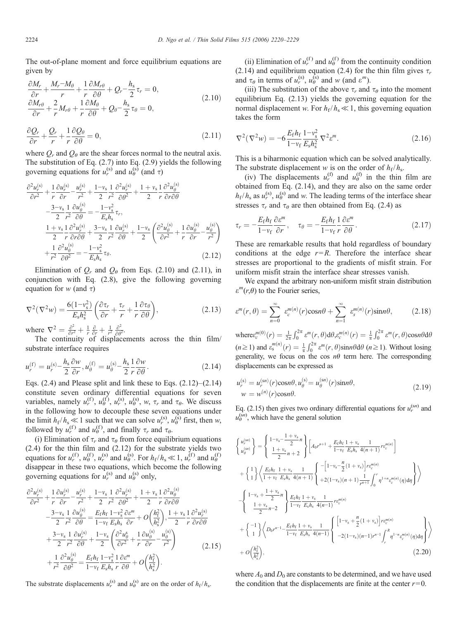The out-of-plane moment and force equilibrium equations are given by

$$
\frac{\partial M_r}{\partial r} + \frac{M_r - M_\theta}{r} + \frac{1}{r} \frac{\partial M_{r\theta}}{\partial \theta} + Q_r - \frac{h_s}{2} \tau_r = 0, \n\frac{\partial M_{r\theta}}{\partial r} + \frac{2}{r} M_{r\theta} + \frac{1}{r} \frac{\partial M_\theta}{\partial \theta} + Q_\theta - \frac{h_s}{2} \tau_\theta = 0,
$$
\n(2.10)

$$
\frac{\partial Q_r}{\partial r} + \frac{Q_r}{r} + \frac{1}{r} \frac{\partial Q_\theta}{\partial \theta} = 0, \tag{2.11}
$$

where  $Q_r$  and  $Q_\theta$  are the shear forces normal to the neutral axis. The substitution of Eq. (2.7) into Eq. (2.9) yields the following governing equations for  $u_r^{(s)}$  and  $u_\theta^{(s)}$  (and  $\tau$ )

$$
\frac{\partial^2 u_r^{(s)}}{\partial r^2} + \frac{1}{r} \frac{\partial u_r^{(s)}}{\partial r} - \frac{u_r^{(s)}}{r^2} + \frac{1 - v_s}{2} \frac{1}{r^2} \frac{\partial^2 u_r^{(s)}}{\partial \theta^2} + \frac{1 + v_s}{2} \frac{1}{r} \frac{\partial^2 u_\theta^{(s)}}{\partial r \partial \theta} \n- \frac{3 - v_s}{2} \frac{1}{r^2} \frac{\partial u_\theta^{(s)}}{\partial \theta} = - \frac{1 - v_s^2}{E_s h_s} \tau_r, \n\frac{1 + v_s}{2} \frac{1}{r} \frac{\partial^2 u_r^{(s)}}{\partial r \partial \theta} + \frac{3 - v_s}{2} \frac{1}{r^2} \frac{\partial u_r^{(s)}}{\partial \theta} + \frac{1 - v_s}{2} \left( \frac{\partial^2 u_\theta^{(s)}}{\partial r^2} + \frac{1}{r} \frac{\partial u_\theta^{(s)}}{\partial r} - \frac{u_\theta^{(s)}}{r^2} \right) \n+ \frac{1}{r^2} \frac{\partial^2 u_\theta^{(s)}}{\partial \theta^2} = - \frac{1 - v_s^2}{E_s h_s} \tau_\theta.
$$
\n(2.12)

Elimination of  $Q_r$  and  $Q_\theta$  from Eqs. (2.10) and (2.11), in conjunction with Eq. (2.8), give the following governing equation for w (and  $\tau$ )

$$
\nabla^2(\nabla^2 w) = \frac{6(1 - v_s^2)}{E_s h_s^2} \left( \frac{\partial \tau_r}{\partial r} + \frac{\tau_r}{r} + \frac{1}{r} \frac{\partial \tau_\theta}{\partial \theta} \right),\tag{2.13}
$$

where  $\nabla^2 = \frac{\partial^2}{\partial r^2} + \frac{1}{r} \frac{\partial}{\partial r} + \frac{1}{r^2} \frac{\partial^2}{\partial \theta^2}$ .<br>The continuity of displace

The continuity of displacements across the thin film/ substrate interface requires

$$
u_r^{(\rm f)} = u_r^{(\rm s)} - \frac{h_{\rm s}}{2} \frac{\partial w}{\partial r}, u_\theta^{(\rm f)} = u_\theta^{(\rm s)} - \frac{h_{\rm s}}{2} \frac{1}{r} \frac{\partial w}{\partial \theta}.
$$
 (2.14)

Eqs.  $(2.4)$  and Please split and link these to Eqs.  $(2.12)$ – $(2.14)$ constitute seven ordinary differential equations for seven variables, namely  $u_r^{(f)}$ ,  $u_\theta^{(f)}$ ,  $u_r^{(s)}$ ,  $u_\theta^{(s)}$ , w,  $\tau_r$  and  $\tau_\theta$ . We discuss in the following how to decouple these seven equations under the limit  $h_f/h_s \ll 1$  such that we can solve  $u_r^{(s)}$ ,  $u_\theta^{(s)}$  first, then w, followed by  $u_r^{(f)}$  and  $u_{\theta}^{(f)}$ , and finally  $\tau_r$  and  $\tau_{\theta}$ .

(i) Elimination of  $\tau_r$  and  $\tau_\theta$  from force equilibrium equations (2.4) for the thin film and (2.12) for the substrate yields two equations for  $u_r^{(f)}$ ,  $u_\theta^{(f)}$ ,  $u_r^{(s)}$  and  $u_\theta^{(s)}$ . For  $h_f/h_s \ll 1$ ,  $u_r^{(f)}$  and  $u_\theta^{(f)}$ disappear in these two equations, which become the following governing equations for  $u_r^{(s)}$  and  $u_\theta^{(s)}$  only,

$$
\frac{\partial^2 u_r^{(s)}}{\partial r^2} + \frac{1}{r} \frac{\partial u_r^{(s)}}{\partial r} - \frac{u_r^{(s)}}{r^2} + \frac{1 - v_s}{2} \frac{\partial^2 u_r^{(s)}}{r^2} + \frac{1 + v_s}{2} \frac{\partial^2 u_\theta^{(s)}}{r \partial r \partial \theta} \n- \frac{3 - v_s}{2} \frac{1}{r^2} \frac{\partial u_\theta^{(s)}}{\partial \theta} = \frac{E_f h_f}{1 - v_f} \frac{1 - v_s^2}{E_s h_s} \frac{\partial e^m}{\partial r} + O\left(\frac{h_f^2}{h_s^2}\right), \frac{1 + v_s}{2} \frac{1}{r} \frac{\partial^2 u_r^{(s)}}{\partial r \partial \theta} \n+ \frac{3 - v_s}{2} \frac{1}{r^2} \frac{\partial u_r^{(s)}}{\partial \theta} + \frac{1 - v_s}{2} \left(\frac{\partial^2 u_\theta^s}{\partial r^2} + \frac{1}{r} \frac{\partial u_\theta^{(s)}}{\partial r} - \frac{u_\theta^{(s)}}{r^2}\right) \n+ \frac{1}{r^2} \frac{\partial^2 u_\theta^{(s)}}{\partial \theta^2} = \frac{E_f h_f}{1 - v_f} \frac{1 - v_s^2}{E_s h_s} \frac{1}{r} \frac{\partial e^m}{\partial \theta} + O\left(\frac{h_f^2}{h_s^2}\right).
$$
\n(2.15)

The substrate displacements  $u_r^{(s)}$  and  $u_\theta^{(s)}$  are on the order of  $h_f/h_s$ .

(ii) Elimination of  $u_r^{(f)}$  and  $u_\theta^{(f)}$  from the continuity condition (2.14) and equilibrium equation (2.4) for the thin film gives  $\tau_r$ and  $\tau_{\theta}$  in terms of  $u_r^{(s)}$ ,  $u_{\theta}^{(s)}$  and w (and  $\varepsilon^m$ ).

(iii) The substitution of the above  $\tau_r$  and  $\tau_\theta$  into the moment equilibrium Eq. (2.13) yields the governing equation for the normal displacement w. For  $h_f / h_s \ll 1$ , this governing equation takes the form

$$
\nabla^2 (\nabla^2 w) = -6 \frac{E_{\rm f} h_{\rm f}}{1 - v_{\rm f}} \frac{1 - v_{\rm s}^2}{E_{\rm s} h_{\rm s}^2} \nabla^2 \varepsilon^m.
$$
 (2.16)

This is a biharmonic equation which can be solved analytically. The substrate displacement w is on the order of  $h_f / h_s$ .

(iv) The displacements  $u_r^{(f)}$  and  $u_{\theta}^{(f)}$  in the thin film are obtained from Eq. (2.14), and they are also on the same order  $h_f/h_s$  as  $u_r^{(s)}$ ,  $u_\theta^{(s)}$  and w. The leading terms of the interface shear stresses  $\tau_r$  and  $\tau_\theta$  are then obtained from Eq. (2.4) as

$$
\tau_r = -\frac{E_f h_f}{1 - v_f} \frac{\partial \varepsilon^m}{\partial r}, \quad \tau_\theta = -\frac{E_f h_f}{1 - v_f} \frac{1}{r} \frac{\partial \varepsilon^m}{\partial \theta}.
$$
\n(2.17)

These are remarkable results that hold regardless of boundary conditions at the edge  $r=R$ . Therefore the interface shear stresses are proportional to the gradients of misfit strain. For uniform misfit strain the interface shear stresses vanish.

We expand the arbitrary non-uniform misfit strain distribution  $\varepsilon^{m}(r,\theta)$  to the Fourier series,

$$
\varepsilon^{m}(r,\theta) = \sum_{n=0}^{\infty} \; \varepsilon_{c}^{m(n)}(r) \cos n\theta + \sum_{n=1}^{\infty} \; \varepsilon_{s}^{m(n)}(r) \sin n\theta, \qquad (2.18)
$$

where  $\varepsilon_c^{m(0)}(r) = \frac{1}{2\pi} \int_0^{2\pi} \varepsilon^m(r,\theta) d\theta, \varepsilon_c^{m(n)}(r) = \frac{1}{\pi} \int_0^{2\pi} \varepsilon^m(r,\theta) \cos n\theta d\theta$  $(n \ge 1)$  and  $\varepsilon_0^{m(n)}(r) = \frac{1}{\pi} \int_0^{2\pi} \varepsilon^m(r,\theta) \sin n\theta d\theta$   $(n \ge 1)$ . Without losing concretion generality, we focus on the cos  $n\theta$  term here. The corresponding displacements can be expressed as

$$
u_r^{(s)} = u_r^{(sn)}(r)\cos n\theta, u_\theta^{(s)} = u_\theta^{(sn)}(r)\sin n\theta,
$$
  
\n
$$
w = w^{(n)}(r)\cos n\theta.
$$
\n(2.19)

Eq. (2.15) then gives two ordinary differential equations for  $u_r^{(sn)}$  and  $u_{\theta}^{(\text{sn})}$ , which have the general solution

$$
\begin{cases}\nu_r^{(sn)} \\
u_\theta^{(sn)}\n\end{cases} = \begin{cases}\n1-v_s - \frac{1+v_s}{2}n \\
\frac{1+v_s}{2}n+2\n\end{cases} \begin{bmatrix}\nA_0r^{n+1} + \frac{E_\text{f}h_\text{f}}{1-v_\text{f}}\frac{1+v_s}{E_sh_s}\frac{1}{4(n+1)}r\varepsilon_c^{m(n)}\n\end{bmatrix} \\
+ \begin{cases}\n1 \\
1\n\end{cases} \begin{cases}\n\frac{E_\text{f}h_\text{f}}{1+v_\text{f}}\frac{1+v_s}{E_sh_s}\frac{1}{4(n+1)}\n\end{cases} \begin{cases}\n-[1-v_s - \frac{n}{2}(1+v_s)\big]re_c^{m(n)} \\
+2(1-v_s)(n+1)\frac{1}{r^{n+1}}\int_0^r \eta^{1+n}\varepsilon_c^{m(n)}(\eta) d\eta\n\end{cases} \end{cases}
$$
\n
$$
- \begin{cases}\n1-v_s + \frac{1+v_s}{2}n \\
\frac{1+v_s}{2}n-2\n\end{cases} \begin{cases}\n\frac{E_\text{f}h_\text{f}}{1-v_\text{f}}\frac{1+v_s}{E_sh_s}\frac{1}{4(n-1)}r\varepsilon_c^{m(n)} \\
-2(1-v_s)(n-1)r^{n-1}\int_r^n \eta^{1-n}\varepsilon_c^{m(n)}(\eta) d\eta\n\end{cases} \end{cases}
$$
\n
$$
+ O\left(\frac{h_\text{f}^2}{h_s^2}\right),
$$
\n(2.20)

where  $A_0$  and  $D_0$  are constants to be determined, and we have used the condition that the displacements are finite at the center  $r=0$ .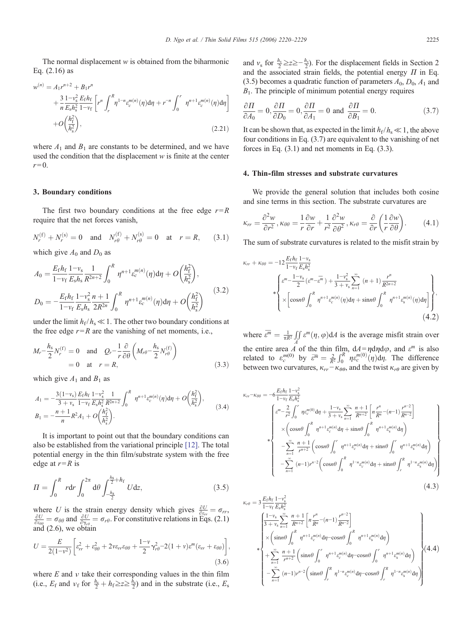The normal displacement  $w$  is obtained from the biharmonic Eq. (2.16) as

$$
w^{(n)} = A_1 r^{n+2} + B_1 r^n
$$
  
+  $\frac{3}{n} \frac{1 - v_s^2}{E_s h_s^2} \frac{E_f h_f}{1 - v_f} \left[ r^n \int_r^R \eta^{1 - n} \varepsilon_c^{m(n)}(\eta) d\eta + r^{-n} \int_0^r \eta^{n+1} \varepsilon_c^{m(n)}(\eta) d\eta \right]$   
+  $O\left(\frac{h_f^2}{h_s^2}\right)$ , (2.21)

where  $A_1$  and  $B_1$  are constants to be determined, and we have used the condition that the displacement  $w$  is finite at the center  $r = 0$ .

## 3. Boundary conditions

The first two boundary conditions at the free edge  $r=R$ require that the net forces vanish,

$$
N_r^{(f)} + N_r^{(s)} = 0
$$
 and  $N_{r\theta}^{(f)} + N_{r\theta}^{(s)} = 0$  at  $r = R$ , (3.1)

which give  $A_0$  and  $D_0$  as

$$
A_0 = \frac{E_f h_f}{1 - v_f} \frac{1 - v_s}{E_s h_s} \frac{1}{R^{2n+2}} \int_0^R \eta^{n+1} \varepsilon_c^{m(n)}(\eta) d\eta + O\left(\frac{h_f^2}{h_s^2}\right),
$$
  
\n
$$
D_0 = -\frac{E_f h_f}{1 - v_f} \frac{1 - v_s^2}{E_s h_s} \frac{n+1}{2R^{2n}} \int_0^R \eta^{n+1} \varepsilon_c^{m(n)}(\eta) d\eta + O\left(\frac{h_f^2}{h_s^2}\right)
$$
\n(3.2)

under the limit  $h_f / h_s \ll 1$ . The other two boundary conditions at the free edge  $r=R$  are the vanishing of net moments, i.e.,

$$
M_r - \frac{h_s}{2} N_r^{(\text{f})} = 0 \text{ and } Q_r - \frac{1}{r} \frac{\partial}{\partial \theta} \left( M_{r\theta} - \frac{h_s}{2} N_{r\theta}^{(\text{f})} \right)
$$
  
= 0 at  $r = R$ , (3.3)

which give  $A_1$  and  $B_1$  as

$$
A_1 = -\frac{3(1-\mathbf{v}_s)}{3+\mathbf{v}_s} \frac{E_f h_f}{1-\mathbf{v}_f} \frac{1-\mathbf{v}_s^2}{E_s h_s^2} \frac{1}{R^{2n+2}} \int_0^R \eta^{n+1} \varepsilon_c^{m(n)}(\eta) d\eta + O\left(\frac{h_f^2}{h_s^2}\right),
$$
  
\n
$$
B_1 = -\frac{n+1}{n} R^2 A_1 + O\left(\frac{h_f^2}{h_s^2}\right).
$$
\n(3.4)

It is important to point out that the boundary conditions can also be established from the variational principle [\[12\]](#page-9-0). The total potential energy in the thin film/substrate system with the free edge at  $r=R$  is

$$
\Pi = \int_0^R r \, dr \int_0^{2\pi} d\theta \int_{-\frac{h_s}{2}}^{\frac{h_s}{2} + h_f} U \, dz,\tag{3.5}
$$

where U is the strain energy density which gives  $\frac{\partial U}{\partial \rho_m} = \sigma_m$ ,  $\frac{\partial U}{\partial \rho_m} = \sigma_{\rho}$  and  $\frac{\partial U}{\partial \rho_m} = \sigma_{\rho}$ . For constitutive relations in Eqs. (2.1)  $\frac{\partial U}{\partial \varepsilon_{\theta\theta}} = \sigma_{\theta\theta}$  and  $\frac{\partial U}{\partial \gamma_{r\theta}} = \sigma_{r\theta}$ . For constitutive relations in Eqs. (2.1) and (2.6), we obtain

$$
U = \frac{E}{2(1 - v^2)} \left[ \varepsilon_{rr}^2 + \varepsilon_{\theta\theta}^2 + 2v\varepsilon_{rr}\varepsilon_{\theta\theta} + \frac{1 - v}{2} \gamma_{r\theta}^2 - 2(1 + v)\varepsilon^m(\varepsilon_{rr} + \varepsilon_{\theta\theta}) \right],
$$
\n(3.6)

where  $E$  and  $\nu$  take their corresponding values in the thin film (i.e.,  $E_f$  and  $v_f$  for  $\frac{h_s}{2} + h_f \ge z \ge \frac{h_s}{2}$ ) and in the substrate (i.e.,  $E_s$ 

and  $v_s$  for  $\frac{h_s}{2} \geq z \geq -\frac{h_s}{2}$ ). For the displacement fields in Section 2 and the associated strain fields, the potential energy  $\Pi$  in Eq. (3.5) becomes a quadratic function of parameters  $A_0$ ,  $D_0$ ,  $A_1$  and  $B_1$ . The principle of minimum potential energy requires

$$
\frac{\partial \Pi}{\partial A_0} = 0, \frac{\partial \Pi}{\partial D_0} = 0, \frac{\partial \Pi}{\partial A_1} = 0 \text{ and } \frac{\partial \Pi}{\partial B_1} = 0.
$$
 (3.7)

It can be shown that, as expected in the limit  $h_f/h_s \ll 1$ , the above four conditions in Eq. (3.7) are equivalent to the vanishing of net forces in Eq. (3.1) and net moments in Eq. (3.3).

#### 4. Thin-film stresses and substrate curvatures

We provide the general solution that includes both cosine and sine terms in this section. The substrate curvatures are

$$
\kappa_{rr} = \frac{\partial^2 w}{\partial r^2}, \kappa_{\theta\theta} = \frac{1}{r} \frac{\partial w}{\partial r} + \frac{1}{r^2} \frac{\partial^2 w}{\partial \theta^2}, \kappa_{r\theta} = \frac{\partial}{\partial r} \left( \frac{1}{r} \frac{\partial w}{\partial \theta} \right).
$$
 (4.1)

The sum of substrate curvatures is related to the misfit strain by

$$
\kappa_{rr} + \kappa_{\theta\theta} = -12 \frac{E_{\rm f} h_{\rm f} 1 - v_{\rm s}}{1 - v_{\rm f} E_{\rm s} h_{\rm s}^2} \n\qquad \left\{ \varepsilon^m - \frac{1 - v_{\rm s}}{2} (\varepsilon^m - \varepsilon^m) + \frac{1 - v_{\rm s}^2}{3 + v_{\rm s}} \sum_{n=1}^{\infty} (n+1) \frac{r^n}{R^{2n+2}} \right\} \n\times \left[ \cos n\theta \int_0^R \eta^{n+1} \varepsilon_c^{m(n)}(\eta) d\eta + \sin n\theta \int_0^R \eta^{n+1} \varepsilon_s^{m(n)}(\eta) d\eta \right] \right\},
$$
\n(4.2)

where  $\overline{\varepsilon^m} = \frac{1}{\pi R^2} \int_A$ A  $\iint_{\mathcal{U}} \varepsilon^{m}(\eta, \varphi) dA$  is the average misfit strain over the entire area A of the thin film,  $dA = \eta d\eta d\varphi$ , and  $\varepsilon^m$  is also the entire area A of the thin film,  $dA = \eta d\rho d\rho$ , and  $\varepsilon^m$  is also<br>related to  $\varepsilon_c^{m(0)}$  by  $\varepsilon^m = \frac{2}{R^2} \int_0^R \eta \varepsilon_c^{m(0)}(\eta) d\eta$ . The difference<br>between two curvatures  $\varepsilon_c = \varepsilon_{\text{res}}$  and the twist  $\varepsilon_c$  are between two curvatures,  $\kappa_{rr} - \kappa_{\theta\theta}$ , and the twist  $\kappa_{r\theta}$  are given by

$$
\kappa_{rr} - \kappa_{\theta\theta} = -6 \frac{E_r h_{\rm f}}{1 - v_{\rm f}} \frac{1 - v_{\rm s}^2}{E_s h_s^2} \n\begin{bmatrix}\n\varepsilon^m - \frac{2}{r^2} \int_0^r \eta \varepsilon_c^m^{(0)} d\eta + \frac{1 - v_{\rm s}}{3 + v_{\rm s}} \sum_{n=1}^\infty \frac{n+1}{R^{n+2}} \left[ n \frac{r^n}{R^n} - (n-1) \frac{r^{n-2}}{R^{n-2}} \right] \\
\times \left( \cos n\theta \int_0^R \eta^{n+1} \varepsilon_c^m^{(n)} d\eta + \sin n\theta \int_0^R \eta^{n+1} \varepsilon_s^m^{(n)} d\eta \right) \\
- \sum_{n=1}^\infty \frac{n+1}{r^{n+2}} \left( \cos n\theta \int_0^r \eta^{n+1} \varepsilon_c^m^{(n)} d\eta + \sin n\theta \int_0^r \eta^{n+1} \varepsilon_s^m^{(n)} d\eta \right) \\
- \sum_{n=1}^\infty (n-1) r^{n-2} \left( \cos n\theta \int_0^R \eta^{1-n} \varepsilon_c^m^{(n)} d\eta + \sin n\theta \int_r^R \eta^{1-n} \varepsilon_s^m^{(n)} d\eta \right)\n\end{bmatrix} (4.3)
$$

$$
\kappa_{r\theta} = 3 \frac{E_{\rm f} h_{\rm f}}{1 - v_{\rm f}} \frac{1 - v_{\rm s}^2}{E_s h_s^2} \n= \begin{cases}\n\frac{1 - v_{\rm s}}{3 + v_{\rm s}} \sum_{n=1}^{\infty} \frac{n+1}{R^{n+2}} \left[ n \frac{r^n}{R^n} - (n-1) \frac{r^{n-2}}{R^{n-2}} \right] \\
\times \left( \sin n\theta \int_0^R \eta^{n+1} \varepsilon_c^{m(n)} d\eta - \cos n\theta \int_0^R \eta^{n+1} \varepsilon_s^{m(n)} d\eta \right) \\
+ \sum_{n=1}^{\infty} \frac{n+1}{r^{n+2}} \left( \sin n\theta \int_0^r \eta^{n+1} \varepsilon_c^{m(n)} d\eta - \cos n\theta \int_0^r \eta^{n+1} \varepsilon_s^{m(n)} d\eta \right) \\
- \sum_{n=1}^{\infty} (n-1) r^{n-2} \left( \sin n\theta \int_r^R \eta^{1-n} \varepsilon_c^{m(n)} d\eta - \cos n\theta \int_r^R \eta^{1-n} \varepsilon_s^{m(n)} d\eta \right)\n\end{cases} (4.4)
$$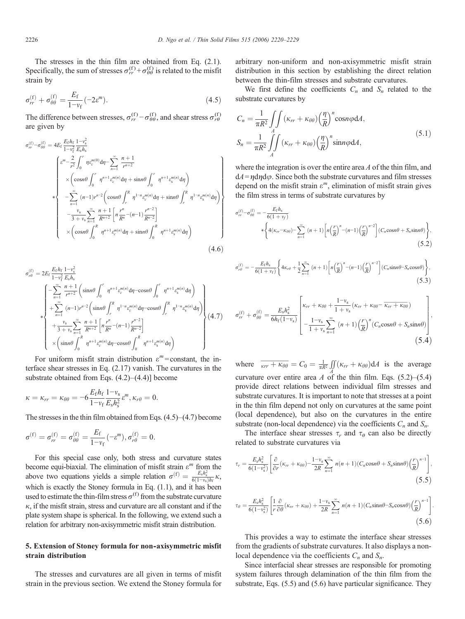The stresses in the thin film are obtained from Eq. (2.1). Specifically, the sum of stresses  $\sigma_{rr}^{(f)} + \sigma_{\theta\theta}^{(f)}$  is related to the misfit strain by

$$
\sigma_{rr}^{(f)} + \sigma_{\theta\theta}^{(f)} = \frac{E_f}{1 - v_f} (-2\varepsilon^m). \tag{4.5}
$$

The difference between stresses,  $\sigma_{rr}^{(f)} - \sigma_{\theta\theta}^{(f)}$ , and shear stress  $\sigma_{r\theta}^{(f)}$ are given by

$$
\sigma_{rr}^{(f)} - \sigma_{\theta\theta}^{(f)} = 4E_{f} \frac{E_{f} h_{f} 1 - v_{s}^{2}}{1 - v_{f}^{2}} E_{s} h_{s}
$$
\n
$$
\times \left(\cos n\theta \int_{0}^{r} \eta^{n+1} \varepsilon_{\varepsilon}^{m(n)} d\eta + \sin n\theta \int_{0}^{r} \eta^{n+1} \varepsilon_{s}^{m(n)} d\eta\right)
$$
\n
$$
\times \left(\cos n\theta \int_{0}^{r} \eta^{n+1} \varepsilon_{\varepsilon}^{m(n)} d\eta + \sin n\theta \int_{0}^{r} \eta^{n+1} \varepsilon_{s}^{m(n)} d\eta\right)
$$
\n
$$
- \sum_{n=1}^{\infty} (n-1)r^{n-2} \left(\cos n\theta \int_{r}^{R} \eta^{1-n} \varepsilon_{\varepsilon}^{m(n)} d\eta + \sin n\theta \int_{r}^{R} \eta^{1-n} \varepsilon_{s}^{m(n)} d\eta\right)
$$
\n
$$
- \frac{v_{s}}{3 + v_{s}} \sum_{n=1}^{\infty} \frac{n+1}{R^{n+2}} \left[ n \frac{r^{n}}{R^{n}} - (n-1) \frac{r^{n-2}}{R^{n-2}} \right]
$$
\n
$$
\times \left(\cos n\theta \int_{0}^{R} \eta^{n+1} \varepsilon_{\varepsilon}^{m(n)} d\eta + \sin n\theta \int_{0}^{R} \eta^{n+1} \varepsilon_{s}^{m(n)} d\eta\right)
$$
\n
$$
(4.6)
$$

$$
\sigma_{r\theta}^{(f)} = 2E_f \frac{E_f h_f}{1 - v_f^2} \frac{1 - v_s^2}{E_s h_s}
$$
\n
$$
\begin{bmatrix}\n-\sum_{n=1}^{\infty} \frac{n+1}{r^{n+2}} \left(\sin n\theta \int_0^r \eta^{n+1} \varepsilon_c^{m(n)} d\eta - \cos n\theta \int_0^r \eta^{n+1} \varepsilon_s^{m(n)} d\eta\right) \\
+\sum_{n=1}^{\infty} (n-1) r^{n-2} \left(\sin n\theta \int_r^R \eta^{1-n} \varepsilon_c^{m(n)} d\eta - \cos n\theta \int_r^R \eta^{1-n} \varepsilon_s^{m(n)} d\eta\right) \\
+\frac{v_s}{3 + v_s} \sum_{n=1}^{\infty} \frac{n+1}{R^{n+2}} \left[n \frac{r^n}{R^n} - (n-1) \frac{r^{n-2}}{R^{n-2}}\right] \\
\times \left(\sin n\theta \int_0^R \eta^{n+1} \varepsilon_c^{m(n)} d\eta - \cos n\theta \int_0^R \eta^{n+1} \varepsilon_s^{m(n)} d\eta\right)\n\end{bmatrix} (4.7)
$$

For uniform misfit strain distribution  $\varepsilon^m$  = constant, the interface shear stresses in Eq. (2.17) vanish. The curvatures in the substrate obtained from Eqs. (4.2)–(4.4)] become

$$
\kappa = \kappa_{rr} = \kappa_{\theta\theta} = -6\frac{E_f h_f}{1 - v_f} \frac{1 - v_s}{E_s h_s^2} \varepsilon^m, \kappa_{r\theta} = 0.
$$

The stresses in the thin film obtained from Eqs. (4.5)–(4.7) become

$$
\sigma^{(f)} = \sigma_{rr}^{(f)} = \sigma_{\theta\theta}^{(f)} = \frac{E_f}{1 - v_f}(-\varepsilon^m), \sigma_{r\theta}^{(f)} = 0.
$$

For this special case only, both stress and curvature states become equi-biaxial. The elimination of misfit strain  $\varepsilon^m$  from the above two equations yields a simple relation  $\sigma^{(f)} = \frac{E_s h_s^2}{6(1-v_s)h_f} \kappa$ which is exactly the Stoney formula in Eq. (1.1), and it has been<br>which is exactly the Stoney formula in Eq. (1.1), and it has been used to estimate the thin-film stress  $\sigma^{(f)}$  from the substrate curvature  $\kappa$ , if the misfit strain, stress and curvature are all constant and if the plate system shape is spherical. In the following, we extend such a relation for arbitrary non-axisymmetric misfit strain distribution.

# 5. Extension of Stoney formula for non-axisymmetric misfit strain distribution

The stresses and curvatures are all given in terms of misfit strain in the previous section. We extend the Stoney formula for

arbitrary non-uniform and non-axisymmetric misfit strain distribution in this section by establishing the direct relation between the thin-film stresses and substrate curvatures.

We first define the coefficients  $C_n$  and  $S_n$  related to the substrate curvatures by

$$
C_n = \frac{1}{\pi R^2} \iint\limits_A (\kappa_{rr} + \kappa_{\theta\theta}) \left(\frac{\eta}{R}\right)^n \cos n\varphi \, dA,
$$
  
\n
$$
S_n = \frac{1}{\pi R^2} \iint\limits_A (\kappa_{rr} + \kappa_{\theta\theta}) \left(\frac{\eta}{R}\right)^n \sin n\varphi \, dA,
$$
\n(5.1)

where the integration is over the entire area A of the thin film, and  $dA = ndn d\varphi$ . Since both the substrate curvatures and film stresses depend on the misfit strain  $\varepsilon^m$ , elimination of misfit strain gives the film stress in terms of substrate curvatures by

$$
\sigma_{rr}^{(f)} - \sigma_{\theta\theta}^{(f)} = -\frac{E_{f}h_{s}}{6(1 + v_{f})}
$$
  
 
$$
*\left\{4(\kappa_{rr} - \kappa_{\theta\theta}) - \sum_{n=1}^{\infty} (n+1) \left[ n\left(\frac{r}{R}\right)^{n} - (n-1)\left(\frac{r}{R}\right)^{n-2} \right] (C_{n}\cos n\theta + S_{n}\sin n\theta) \right\},
$$
  
(5.2)

$$
\sigma_{r\theta}^{(f)} = -\frac{E_f h_s}{6(1+v_f)} \left\{ 4\kappa_{r\theta} + \frac{1}{2} \sum_{n=1}^{\infty} (n+1) \left[ n \left( \frac{r}{R} \right)^n - (n-1) \left( \frac{r}{R} \right)^{n-2} \right] (C_n \sin n\theta - S_n \cos n\theta) \right\},\tag{5.3}
$$

$$
\sigma_{rr}^{(f)} + \sigma_{\theta\theta}^{(f)} = \frac{E_s h_s^2}{6h_f(1-v_s)} \begin{bmatrix} \kappa_{rr} + \kappa_{\theta\theta} + \frac{1-v_s}{1+v_s}(\kappa_{rr} + \kappa_{\theta\theta} - \frac{1}{\kappa_{rr} + \kappa_{\theta\theta}}) \\ -\frac{1-v_s}{1+v_s} \sum_{n=1}^{\infty} (n+1) \left(\frac{r}{R}\right)^n (C_n \cos n\theta + S_n \sin n\theta) \end{bmatrix},
$$
\nwhere  $\overline{\kappa_{rr} + \kappa_{\theta\theta}} = C_0 = \frac{1}{\pi R^2} \iint_A (\kappa_{rr} + \kappa_{\theta\theta}) dA$  is the average

A  $\iint\limits_{A} (\kappa_{rr} + \kappa_{\theta\theta}) dA$  is the average curvature over entire area A of the thin film. Eqs.  $(5.2)$ – $(5.4)$ provide direct relations between individual film stresses and substrate curvatures. It is important to note that stresses at a point in the thin film depend not only on curvatures at the same point (local dependence), but also on the curvatures in the entire substrate (non-local dependence) via the coefficients  $C_n$  and  $S_n$ .

The interface shear stresses  $\tau_r$  and  $\tau_\theta$  can also be directly related to substrate curvatures via

$$
\tau_r = \frac{E_s h_s^2}{6(1 - v_s^2)} \left[ \frac{\partial}{\partial r} (\kappa_{rr} + \kappa_{\theta\theta}) - \frac{1 - v_s}{2R} \sum_{n=1}^{\infty} n(n+1) (C_n \cos n\theta + S_n \sin n\theta) \left(\frac{r}{R}\right)^{n-1} \right],
$$
\n(5.5)

$$
\tau_{\theta} = \frac{E_{s}h_{s}^{2}}{6(1-v_{s}^{2})} \left[ \frac{1}{r} \frac{\partial}{\partial \theta} (\kappa_{rr} + \kappa_{\theta\theta}) + \frac{1-v_{s}}{2R} \sum_{n=1}^{\infty} n(n+1) (C_{n} \sin n\theta - S_{n} \cos n\theta) \left(\frac{r}{R}\right)^{n-1} \right].
$$
\n(5.6)

This provides a way to estimate the interface shear stresses from the gradients of substrate curvatures. It also displays a nonlocal dependence via the coefficients  $C_n$  and  $S_n$ .

Since interfacial shear stresses are responsible for promoting system failures through delamination of the thin film from the substrate, Eqs. (5.5) and (5.6) have particular significance. They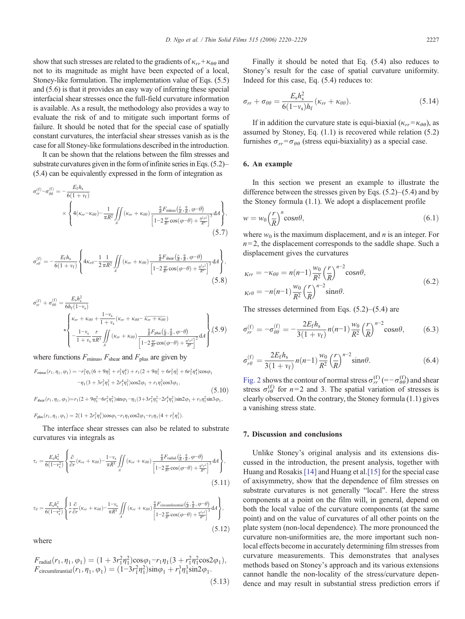show that such stresses are related to the gradients of  $\kappa_{rr}+\kappa_{\theta\theta}$  and not to its magnitude as might have been expected of a local, Stoney-like formulation. The implementation value of Eqs. (5.5) and (5.6) is that it provides an easy way of inferring these special interfacial shear stresses once the full-field curvature information is available. As a result, the methodology also provides a way to evaluate the risk of and to mitigate such important forms of failure. It should be noted that for the special case of spatially constant curvatures, the interfacial shear stresses vanish as is the case for all Stoney-like formulations described in the introduction.

It can be shown that the relations between the film stresses and substrate curvatures given in the form of infinite series in Eqs. (5.2)– (5.4) can be equivalently expressed in the form of integration as

$$
\sigma_{rr}^{(f)} - \sigma_{\theta\theta}^{(f)} = -\frac{E_{f}h_{s}}{6(1 + v_{f})}
$$
  
 
$$
\times \left\{ 4(\kappa_{rr} - \kappa_{\theta\theta}) - \frac{1}{\pi R^{2}} \iint_{A} (\kappa_{rr} + \kappa_{\theta\theta}) \frac{\frac{\eta}{R} F_{\text{minus}}\left(\frac{r}{R}, \frac{\eta}{R}, \phi - \theta\right)}{\left[1 - 2\frac{\eta r}{R^{2}} \cos(\phi - \theta) + \frac{\eta^{2} r^{2}}{R^{4}}\right]^{3}} dA \right\},
$$
\n(5.7)

$$
\sigma_{r\theta}^{(\rm f)} = -\frac{E_{\rm f}h_{\rm s}}{6(1+v_{\rm f})} \left\{ 4\kappa_{r\theta} - \frac{1}{2}\frac{1}{\pi R^2} \iint\limits_{A} (\kappa_{rr} + \kappa_{\theta\theta}) \frac{\frac{\eta}{R}F_{\rm shear}(\frac{r}{R}, \frac{\eta}{R}, \varphi - \theta)}{\left[1 - 2\frac{\eta r}{R^2}\cos(\varphi - \theta) + \frac{\eta^2 r^2}{R^4}\right]^3} \, \mathrm{d}A \right\},\tag{5.8}
$$

$$
\sigma_{rr}^{(f)} + \sigma_{\theta\theta}^{(f)} = \frac{E_{s}h_{s}^{2}}{6h_{f}(1-v_{s})}
$$
\n
$$
\ast \left\{\n\begin{array}{l}\n\kappa_{rr} + \kappa_{\theta\theta} + \frac{1-v_{s}}{1+v_{s}}(\kappa_{rr} + \kappa_{\theta\theta} - \overline{\kappa_{rr} + \kappa_{\theta\theta}}) \\
-\frac{1-v_{s}}{1+v_{s}}\frac{r}{\pi R^{3}}\iint\left(\kappa_{rr} + \kappa_{\theta\theta}\right) \frac{\frac{\eta}{R}F_{\text{plus}}\left(\frac{r}{R}, \frac{\eta}{R}, \varphi - \theta\right)}{\left[1-2\frac{\eta r}{R^{2}}\cos(\varphi - \theta) + \frac{\eta^{2}r^{2}}{R^{4}}\right]^{2}} dA\n\end{array}\n\right\}, (5.9)
$$

where functions  $F_{\text{minus}}$ ,  $F_{\text{shear}}$  and  $F_{\text{plus}}$  are given by

$$
F_{\text{minus}}(r_1, \eta_1, \varphi_1) = -r_1^2 \eta_1 (6 + 9\eta_1^2 + r_1^2 \eta_1^4) + r_1 (2 + 9\eta_1^2 + 6r_1^2 \eta_1^2 + 6r_1^2 \eta_1^4) \cos\varphi_1
$$
  

$$
- \eta_1 (3 + 3r_1^2 \eta_1^2 + 2r_1^4 \eta_1^2) \cos 2\varphi_1 + r_1 \eta_1^2 \cos 3\varphi_1,
$$
 (5.10)

 $F_{\text{shear}}(r_1, \eta_1, \varphi_1) = r_1(2 + 9\eta_1^2 - 6r_1^2\eta_1^2)\text{sin}\varphi_1 - \eta_1(3 + 3r_1^2\eta_1^2 - 2r_1^4\eta_1^2)\text{sin}2\varphi_1 + r_1\eta_1^2\text{sin}3\varphi_1,$ 

 $F_{\text{plus}}(r_1, \eta_1, \varphi_1) = 2(1 + 2r_1^2 \eta_1^2) \cos \varphi_1 - r_1 \eta_1 \cos 2\varphi_1 - r_1 \eta_1 (4 + r_1^2 \eta_1^2).$ 

The interface shear stresses can also be related to substrate curvatures via integrals as

$$
\tau_r = \frac{E_s h_s^2}{6(1 - v_s^2)} \left\{ \frac{\partial}{\partial r} (\kappa_{rr} + \kappa_{\theta\theta}) - \frac{1 - v_s}{\pi R^3} \iint_A (\kappa_{rr} + \kappa_{\theta\theta}) \frac{\frac{\eta}{R} F_{\text{radial}}(\frac{r}{R}, \frac{\eta}{R}, \phi - \theta)}{\left[1 - 2\frac{\eta r}{R^2} \cos(\phi - \theta) + \frac{\eta^2 r^2}{R^4}\right]^3} dA \right\},\tag{5.11}
$$

$$
\tau_{\theta} = \frac{E_s h_s^2}{6(1 - v_s^2)} \left\{ \frac{1}{r} \frac{\partial}{\partial r} (\kappa_{rr} + \kappa_{\theta\theta}) - \frac{1 - v_s}{\pi R^3} \iint_A (\kappa_{rr} + \kappa_{\theta\theta}) \frac{\frac{\eta}{R} F_{\text{circumferential}}(\frac{r}{R}, \frac{\eta}{R}, \phi - \theta)}{\left[1 - 2\frac{\eta r}{R^2} \cos(\phi - \theta) + \frac{\eta^2 r^2}{R^4}\right]^3} dA \right\},\tag{5.11}
$$

where

 $F_{\text{radial}}(r_1, \eta_1, \varphi_1) = (1 + 3r_1^2 \eta_1^2) \cos \varphi_1 - r_1 \eta_1 (3 + r_1^2 \eta_1^2 \cos 2\varphi_1),$ <br>  $F_{\text{maxial}}(r_1, \eta_2, \varphi_1) = (1 - 3r_1^2 \eta_2^2) \sin \varphi_2 + r_2^3 \eta_2^3 \sin 2\varphi_1.$  $F_{\text{circumferantial}}(r_1, \eta_1, \varphi_1) = (1 - 3r_1^2 \eta_1^2) \sin \varphi_1 + r_1^3 \eta_1^3 \sin 2\varphi_1.$ 

Finally it should be noted that Eq. (5.4) also reduces to Stoney's result for the case of spatial curvature uniformity. Indeed for this case, Eq. (5.4) reduces to:

$$
\sigma_{rr} + \sigma_{\theta\theta} = \frac{E_s h_s^2}{6(1 - v_s)h_f} (\kappa_{rr} + \kappa_{\theta\theta}). \tag{5.14}
$$

If in addition the curvature state is equi-biaxial ( $\kappa_{rr} = \kappa_{\theta\theta}$ ), as assumed by Stoney, Eq. (1.1) is recovered while relation (5.2) furnishes  $\sigma_{rr} = \sigma_{\theta\theta}$  (stress equi-biaxiality) as a special case.

## 6. An example

In this section we present an example to illustrate the difference between the stresses given by Eqs. (5.2)–(5.4) and by the Stoney formula (1.1). We adopt a displacement profile

$$
w = w_0 \left(\frac{r}{R}\right)^n \cos n\theta, \tag{6.1}
$$

where  $w_0$  is the maximum displacement, and *n* is an integer. For  $n=2$ , the displacement corresponds to the saddle shape. Such a displacement gives the curvatures

$$
\kappa_{rr} = -\kappa_{\theta\theta} = n(n-1)\frac{w_0}{R^2} \left(\frac{r}{R}\right)^{n-2} \cos n\theta,
$$
  

$$
\kappa_{r\theta} = -n(n-1)\frac{w_0}{R^2} \left(\frac{r}{R}\right)^{n-2} \sin n\theta.
$$
 (6.2)

The stresses determined from Eqs.  $(5.2)$ – $(5.4)$  are

$$
\sigma_{rr}^{(\text{f})} = -\sigma_{\theta\theta}^{(\text{f})} = -\frac{2E_{\text{f}}h_{\text{s}}}{3(1+v_{\text{f}})}n(n-1)\frac{w_0}{R^2}\left(\frac{r}{R}\right)^{n-2}\cos n\theta,\tag{6.3}
$$

$$
\sigma_{r\theta}^{(f)} = \frac{2E_{f}h_{s}}{3(1 + v_{f})}n(n-1)\frac{w_{0}}{R^{2}}\left(\frac{r}{R}\right)^{n-2}\sin n\theta.
$$
\n(6.4)

[Fig. 2](#page-8-0) shows the contour of normal stress  $\sigma_{rr}^{(f)}$  (=  $-\sigma_{\theta\theta}^{(f)}$ ) and shear stress  $\sigma_{r\theta}^{(f)}$  for  $n=2$  and 3. The spatial variation of stresses is clearly observed. On the contrary, the Stoney formula (1.1) gives a vanishing stress state.

## 7. Discussion and conclusions

Unlike Stoney's original analysis and its extensions discussed in the introduction, the present analysis, together with Huang and Rosakis [\[14\]](#page-9-0) and Huang et al.[\[15\]](#page-9-0) for the special case of axisymmetry, show that the dependence of film stresses on substrate curvatures is not generally "local". Here the stress components at a point on the film will, in general, depend on both the local value of the curvature components (at the same point) and on the value of curvatures of all other points on the plate system (non-local dependence). The more pronounced the curvature non-uniformities are, the more important such nonlocal effects become in accurately determining film stresses from curvature measurements. This demonstrates that analyses methods based on Stoney's approach and its various extensions cannot handle the non-locality of the stress/curvature dependence and may result in substantial stress prediction errors if

$$
(5.13)
$$

 $(5.12)$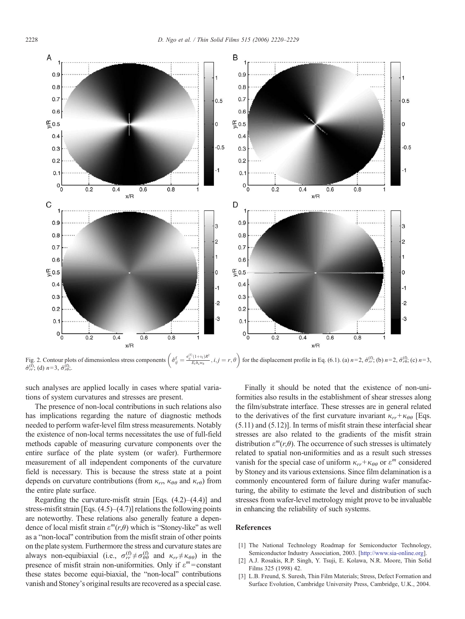<span id="page-8-0"></span>

Fig. 2. Contour plots of dimensionless stress components  $\left(\hat{\sigma}_{ij}^{\text{f}} = \frac{\sigma_{ij}^{\text{cf}}}{\hat{\sigma}_{ij}}\right)$  $\frac{i^{(t)}j(1+v_{\rm f})R^2}{E_{\rm f}h_{\rm s}w_0}$ ,  $i,j=r,\theta$ for the displacement profile in Eq. (6.1). (a)  $n=2$ ,  $\hat{\sigma}_{rr}^{(f)}$ , (b)  $n=2$ ,  $\hat{\sigma}_{rd}^{(f)}$ , (c)  $n=3$ ,  $\hat{\sigma}_{rr}^{(f)}$ ; (d)  $n=3, \hat{\sigma}_{r\theta}^{(f)}$ ;.

such analyses are applied locally in cases where spatial variations of system curvatures and stresses are present.

The presence of non-local contributions in such relations also has implications regarding the nature of diagnostic methods needed to perform wafer-level film stress measurements. Notably the existence of non-local terms necessitates the use of full-field methods capable of measuring curvature components over the entire surface of the plate system (or wafer). Furthermore measurement of all independent components of the curvature field is necessary. This is because the stress state at a point depends on curvature contributions (from  $\kappa_{rr}$ ,  $\kappa_{\theta\theta}$  and  $\kappa_{r\theta}$ ) from the entire plate surface.

Regarding the curvature-misfit strain [Eqs.  $(4.2)$ – $(4.4)$ ] and stress-misfit strain [Eqs.  $(4.5)$ – $(4.7)$ ] relations the following points are noteworthy. These relations also generally feature a dependence of local misfit strain  $\varepsilon^{m}(r,\theta)$  which is "Stoney-like" as well as a "non-local" contribution from the misfit strain of other points on the plate system. Furthermore the stress and curvature states are always non-equibiaxial (i.e.,  $\sigma_{rr}^{(f)} \neq \sigma_{\theta\theta}^{(f)}$  and  $\kappa_{rr} \neq \kappa_{\theta\theta}$ ) in the presence of misfit strain non-uniformities. Only if  $\varepsilon^m$  = constant these states become equi-biaxial, the "non-local" contributions vanish and Stoney's original results are recovered as a special case.

Finally it should be noted that the existence of non-uniformities also results in the establishment of shear stresses along the film/substrate interface. These stresses are in general related to the derivatives of the first curvature invariant  $\kappa_{rr} + \kappa_{\theta\theta}$  [Eqs. (5.11) and (5.12)]. In terms of misfit strain these interfacial shear stresses are also related to the gradients of the misfit strain distribution  $\varepsilon^{m}(r,\theta)$ . The occurrence of such stresses is ultimately related to spatial non-uniformities and as a result such stresses vanish for the special case of uniform  $\kappa_{rr} + \kappa_{\theta\theta}$  or  $\varepsilon^m$  considered by Stoney and its various extensions. Since film delamination is a commonly encountered form of failure during wafer manufacturing, the ability to estimate the level and distribution of such stresses from wafer-level metrology might prove to be invaluable in enhancing the reliability of such systems.

#### References

- [1] The National Technology Roadmap for Semiconductor Technology, Semiconductor Industry Association, 2003. [[http://www.sia-online.org\]](http://www.sianline.org).
- [2] A.J. Rosakis, R.P. Singh, Y. Tsuji, E. Kolawa, N.R. Moore, Thin Solid Films 325 (1998) 42.
- [3] L.B. Freund, S. Suresh, Thin Film Materials; Stress, Defect Formation and Surface Evolution, Cambridge University Press, Cambridge, U.K., 2004.